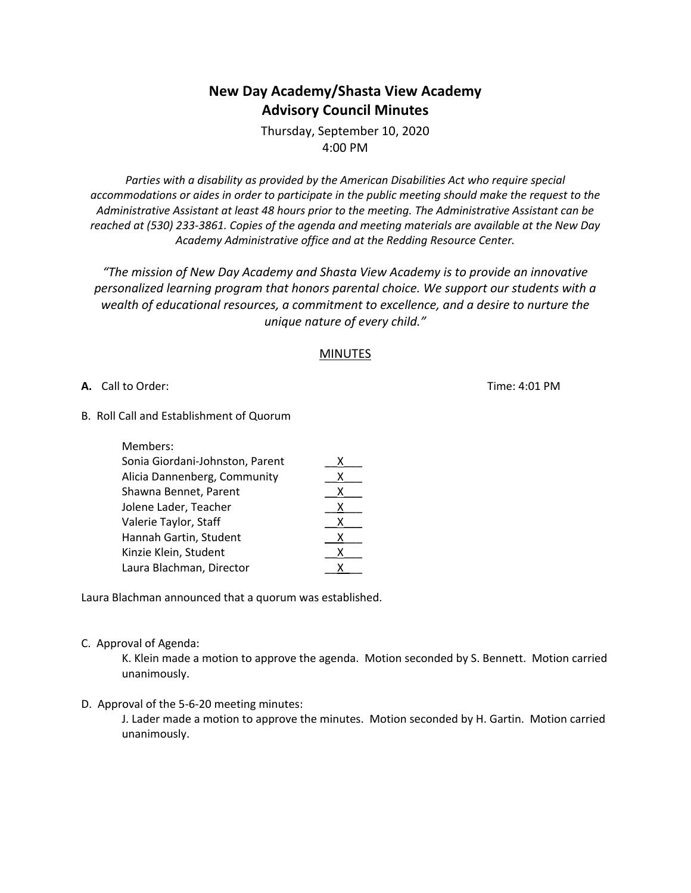# **New Day Academy/Shasta View Academy Advisory Council Minutes**

Thursday, September 10, 2020 4:00 PM

*Parties with a disability as provided by the American Disabilities Act who require special accommodations or aides in order to participate in the public meeting should make the request to the Administrative Assistant at least 48 hours prior to the meeting. The Administrative Assistant can be reached at (530) 233-3861. Copies of the agenda and meeting materials are available at the New Day Academy Administrative office and at the Redding Resource Center.*

*"The mission of New Day Academy and Shasta View Academy is to provide an innovative personalized learning program that honors parental choice. We support our students with a wealth of educational resources, a commitment to excellence, and a desire to nurture the unique nature of every child."*

#### MINUTES

**A.** Call to Order: Time: 4:01 PM

B. Roll Call and Establishment of Quorum

| Members:                        |   |
|---------------------------------|---|
| Sonia Giordani-Johnston, Parent | х |
| Alicia Dannenberg, Community    | x |
| Shawna Bennet, Parent           | x |
| Jolene Lader, Teacher           | х |
| Valerie Taylor, Staff           | x |
| Hannah Gartin, Student          | х |
| Kinzie Klein, Student           | x |
| Laura Blachman, Director        | x |
|                                 |   |

Laura Blachman announced that a quorum was established.

C. Approval of Agenda:

K. Klein made a motion to approve the agenda. Motion seconded by S. Bennett. Motion carried unanimously.

D. Approval of the 5-6-20 meeting minutes:

J. Lader made a motion to approve the minutes. Motion seconded by H. Gartin. Motion carried unanimously.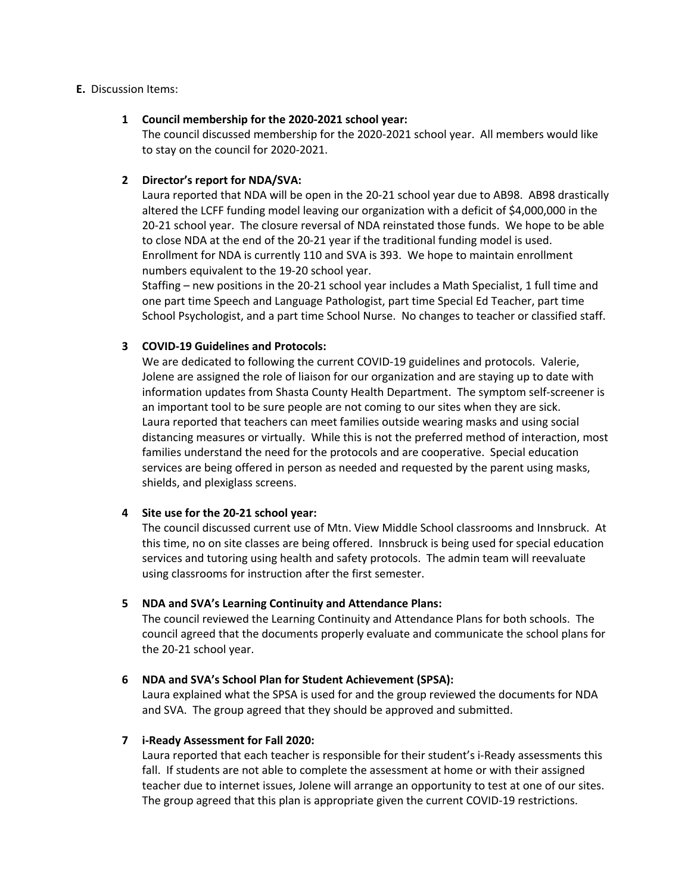#### **E.** Discussion Items:

#### **1 Council membership for the 2020-2021 school year:**

The council discussed membership for the 2020-2021 school year. All members would like to stay on the council for 2020-2021.

## **2 Director's report for NDA/SVA:**

Laura reported that NDA will be open in the 20-21 school year due to AB98. AB98 drastically altered the LCFF funding model leaving our organization with a deficit of \$4,000,000 in the 20-21 school year. The closure reversal of NDA reinstated those funds. We hope to be able to close NDA at the end of the 20-21 year if the traditional funding model is used. Enrollment for NDA is currently 110 and SVA is 393. We hope to maintain enrollment numbers equivalent to the 19-20 school year.

Staffing – new positions in the 20-21 school year includes a Math Specialist, 1 full time and one part time Speech and Language Pathologist, part time Special Ed Teacher, part time School Psychologist, and a part time School Nurse. No changes to teacher or classified staff.

## **3 COVID-19 Guidelines and Protocols:**

We are dedicated to following the current COVID-19 guidelines and protocols. Valerie, Jolene are assigned the role of liaison for our organization and are staying up to date with information updates from Shasta County Health Department. The symptom self-screener is an important tool to be sure people are not coming to our sites when they are sick. Laura reported that teachers can meet families outside wearing masks and using social distancing measures or virtually. While this is not the preferred method of interaction, most families understand the need for the protocols and are cooperative. Special education services are being offered in person as needed and requested by the parent using masks, shields, and plexiglass screens.

## **4 Site use for the 20-21 school year:**

The council discussed current use of Mtn. View Middle School classrooms and Innsbruck. At this time, no on site classes are being offered. Innsbruck is being used for special education services and tutoring using health and safety protocols. The admin team will reevaluate using classrooms for instruction after the first semester.

## **5 NDA and SVA's Learning Continuity and Attendance Plans:**

The council reviewed the Learning Continuity and Attendance Plans for both schools. The council agreed that the documents properly evaluate and communicate the school plans for the 20-21 school year.

## **6 NDA and SVA's School Plan for Student Achievement (SPSA):**

Laura explained what the SPSA is used for and the group reviewed the documents for NDA and SVA. The group agreed that they should be approved and submitted.

## **7 i-Ready Assessment for Fall 2020:**

Laura reported that each teacher is responsible for their student's i-Ready assessments this fall. If students are not able to complete the assessment at home or with their assigned teacher due to internet issues, Jolene will arrange an opportunity to test at one of our sites. The group agreed that this plan is appropriate given the current COVID-19 restrictions.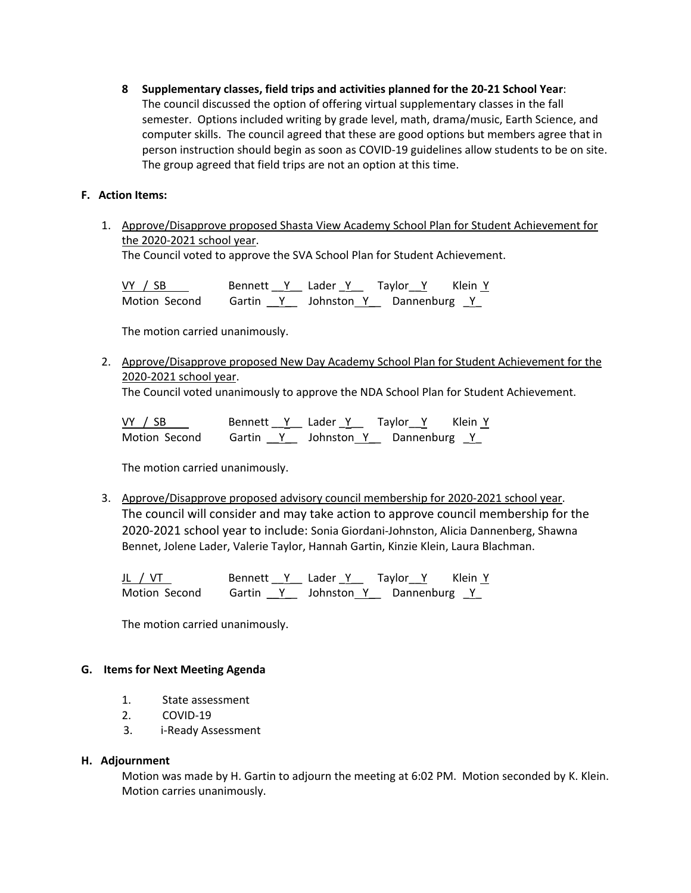**8 Supplementary classes, field trips and activities planned for the 20-21 School Year**: The council discussed the option of offering virtual supplementary classes in the fall semester. Options included writing by grade level, math, drama/music, Earth Science, and computer skills. The council agreed that these are good options but members agree that in person instruction should begin as soon as COVID-19 guidelines allow students to be on site. The group agreed that field trips are not an option at this time.

## **F. Action Items:**

1. Approve/Disapprove proposed Shasta View Academy School Plan for Student Achievement for the 2020-2021 school year.

The Council voted to approve the SVA School Plan for Student Achievement.

VY / SB \_\_\_\_ Bennett \_Y \_\_ Lader Y \_\_ Taylor \_Y \_\_ Klein Y Motion Second Gartin  $Y_$  Johnston Y Dannenburg Y

The motion carried unanimously.

2. Approve/Disapprove proposed New Day Academy School Plan for Student Achievement for the 2020-2021 school year.

The Council voted unanimously to approve the NDA School Plan for Student Achievement.

| VY / SB       |  | Bennett Y Lader Y Taylor Y |                                  | Klein Y |
|---------------|--|----------------------------|----------------------------------|---------|
| Motion Second |  |                            | Gartin Y Johnston Y Dannenburg Y |         |

The motion carried unanimously.

3. Approve/Disapprove proposed advisory council membership for 2020-2021 school year. The council will consider and may take action to approve council membership for the 2020-2021 school year to include: Sonia Giordani-Johnston, Alicia Dannenberg, Shawna Bennet, Jolene Lader, Valerie Taylor, Hannah Gartin, Kinzie Klein, Laura Blachman.

JL / VT Bennett \_\_Y\_\_ Lader \_Y\_\_ Taylor\_\_Y Klein Y Motion Second Gartin Y Johnston Y Dannenburg Y

The motion carried unanimously.

## **G. Items for Next Meeting Agenda**

- 1. State assessment
- 2. COVID-19
- 3. i-Ready Assessment

## **H. Adjournment**

Motion was made by H. Gartin to adjourn the meeting at 6:02 PM. Motion seconded by K. Klein. Motion carries unanimously.